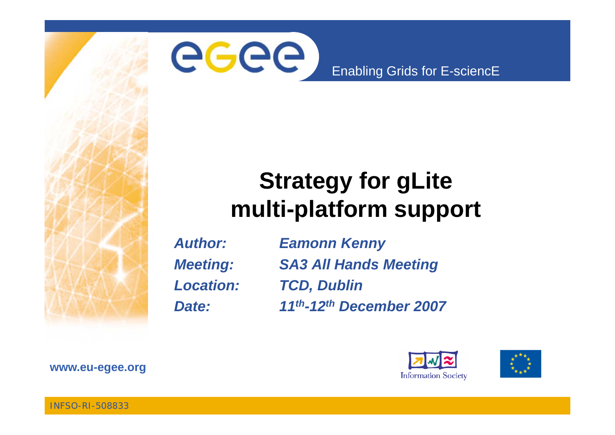

### **Strategy for gLite multi-platform support**

*Author: Eamonn Kenny Location: TCD, Dublin*

*Meeting: SA3 All Hands Meeting Date: 11th-12th December 2007*





**www eu egee org www.eu-egee.org**

INFSO-RI-508833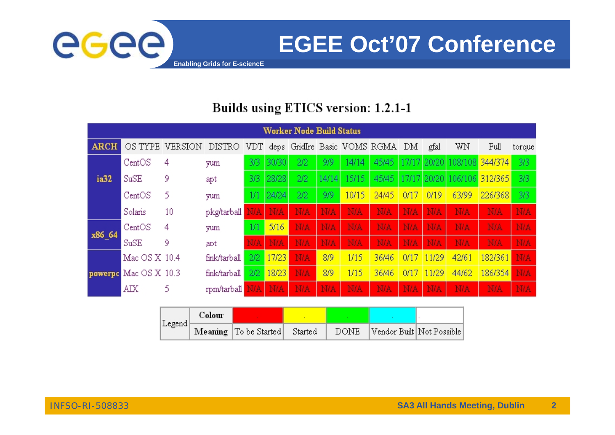

**EGEE Oct'07 Conference**

#### Builds using ETICS version: 1.2.1-1

| Worker Node Build Status |                       |         |              |            |            |            |            |            |                              |      |            |                             |            |            |
|--------------------------|-----------------------|---------|--------------|------------|------------|------------|------------|------------|------------------------------|------|------------|-----------------------------|------------|------------|
| <b>ARCH</b>              | OS TYPE               | VERSION | DISTRO       | VDT.       |            |            |            |            | deps GridIre Basic VOMS RGMA | DM   | gfal       | WN                          | Full       | torque     |
|                          | CentOS                | 4       | yum          | 3/3        | 30/30      | 2/2        | 9/9        | 14/14      | 45/45                        |      |            | 17/17 20/20 108/108         | 344/374    | 3/3        |
| ia32                     | SuSE                  | 9       | apt          | 3/3        | 28/28      | 2/2        | 14/14      | 15/15      | 45/45                        |      |            | 17/17 20/20 106/106 312/365 |            | 3/3        |
|                          | CentOS                |         | yum          | 1/1        | 24/24      | 2/2        | 9/9        | 10/15      | 24/45                        | 0/17 | 0/19       | 63/99                       | 226/368    | 3/3        |
|                          | Solaris               | 10      | pkg/tarball  | <b>NAI</b> | <b>N/A</b> | N/A        | <b>N/A</b> | <b>N/A</b> | N/A                          | N/A  | N/A        | <b>N/A</b>                  | <b>N/A</b> | N/A        |
| x86_64                   | CentOS                | 4       | yum          | 1/1        | 5/16       | N/A        | <b>N/A</b> | <b>N/A</b> | N/A                          | N/A  | N/A        | <b>N/A</b>                  | <b>N/A</b> | <b>N/A</b> |
|                          | SuSE                  | 9       | apt          | N/A        | <b>N/A</b> | <b>N/A</b> | <b>N/A</b> | <b>N/A</b> | N/A                          | N/A  | <b>N/A</b> | <b>N/A</b>                  | <b>N/A</b> | <b>N/A</b> |
|                          | Mac OS X 10.4         |         | fink/tarball | 2/2        | 17/23      | N/A        | 8/9        | 1/15       | 36/46                        | 0/17 | 1/29       | 42/61                       | 182/361    | <b>N/A</b> |
|                          | powerpe Mac OS X 10.3 |         | fink/tarball | 2/2        | 18/23      | N/A        | 8/9        | 1/15       | 36/46                        | 0/17 | 1/29       | 44/62                       | 186/354    | N/A        |
|                          | АIХ                   | 5       | rpm/tarball  | N/A        | <b>N/A</b> | N/A        | <b>N/A</b> | <b>N/A</b> | N/A                          | N/A  | <b>N/A</b> | <b>N/A</b>                  | <b>N/A</b> | <b>N/A</b> |

| $ \mathrm{Legend} $ | Colour |                               |  |                                |
|---------------------|--------|-------------------------------|--|--------------------------------|
|                     |        | Meaning To be Started Started |  | DONE Vendor Built Not Possible |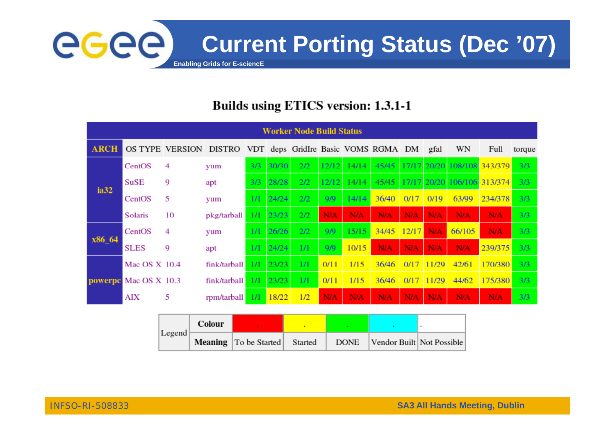

#### Builds using ETICS version: 1.3.1-1

| <b>Worker Node Build Status</b> |                       |                                                            |              |            |       |     |            |            |            |            |             |                             |            |        |
|---------------------------------|-----------------------|------------------------------------------------------------|--------------|------------|-------|-----|------------|------------|------------|------------|-------------|-----------------------------|------------|--------|
| <b>ARCH</b>                     |                       | OS TYPE VERSION DISTRO VDT deps GridIre Basic VOMS RGMA DM |              |            |       |     |            |            |            |            | gfal        | WN                          | Full       | torque |
| ia32                            | CentOS                | 4                                                          | yum          | 3/3        | 30/30 | 2/2 | 12/12      | 14/14      | 45/45      |            | 17/17 20/20 | 108/108 343/379             |            | 3/3    |
|                                 | SuSE                  | 9                                                          | apt          | 3/3        | 28/28 | 2/2 | 12/12      | 14/14      | 45/45      |            |             | 17/17 20/20 106/106 313/374 |            | 3/3    |
|                                 | CentOS                | 5                                                          | yum          | $1/\Gamma$ | 24/24 | 2/2 | 9/9        | 14/14      | 36/40      | 0/17       | 0/19        | 63/99                       | 234/378    | 3/3    |
|                                 | Solaris               | 10                                                         | pkg/tarball  | 1/1        | 23/23 | 2/2 | <b>N/A</b> | <b>N/A</b> | N/A        | <b>N/A</b> | <b>N/A</b>  | <b>N/A</b>                  | <b>N/A</b> | 3/3    |
| x86_64                          | CentOS                | 4                                                          | yum          | 1/1        | 26/26 | 2/2 | 9/9        | 15/15      | 34/45      | 12/17      | <b>N/A</b>  | 66/105                      | N/A        | 3/3    |
|                                 | <b>SLES</b>           | 9                                                          | apt          | 1/1        | 24/24 | 1/1 | 9/9        | 10/15      | N/A        | <b>N/A</b> | <b>N/A</b>  | N/A                         | 239/375    | 3/3    |
|                                 | Mac OS X 10.4         |                                                            | fink/tarball | 1/1        | 23/23 | 1/1 | 0/11       | 1/15       | 36/46      | 0/17       | 11/29       | 42/61                       | 170/380    | 3/3    |
|                                 | powerpe Mac OS X 10.3 |                                                            | fink/tarball | 1/1        | 23/23 | 1/1 | 0/11       | 1/15       | 36/46      | 0/17       | 11/29       | 44/62                       | 175/380    | 3/3    |
|                                 | <b>AIX</b>            | 5                                                          | rpm/tarball  | 1/1        | 18/22 | 1/2 | <b>N/A</b> | <b>N/A</b> | <b>N/A</b> | <b>N/A</b> | <b>N/A</b>  | <b>N/A</b>                  | N/A        | 3/3    |

|        | Colour |                              |         |             |                           |  |
|--------|--------|------------------------------|---------|-------------|---------------------------|--|
| Legend |        | <b>Meaning</b> To be Started | Started | <b>DONE</b> | Vendor Built Not Possible |  |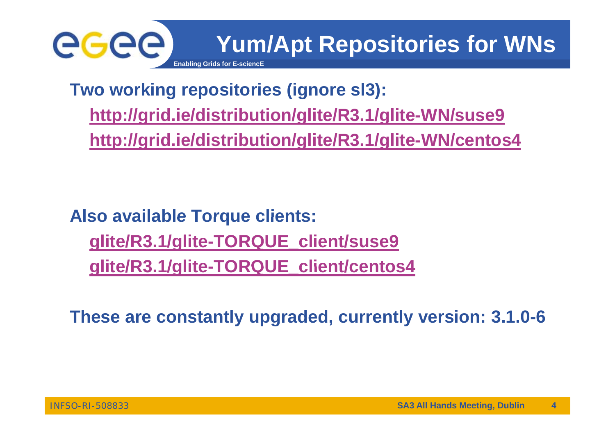

**Two working repositories (ignore sl3): http://grid.ie/distribution/glite/R3.1/glite-WN/suse9 http://grid.ie/distribution/glite/R3.1/glite-WN/centos4**

**Also available Torque clients: glite/R3.1/glite-TORQUE\_client/suse9 glite/R3 1/glite glite/R3.1/glite-TORQUE client/centos4 TORQUE\_client/centos4**

**These are constantly upgraded currently version: 3 1 0 upgraded, 3.1.0-6**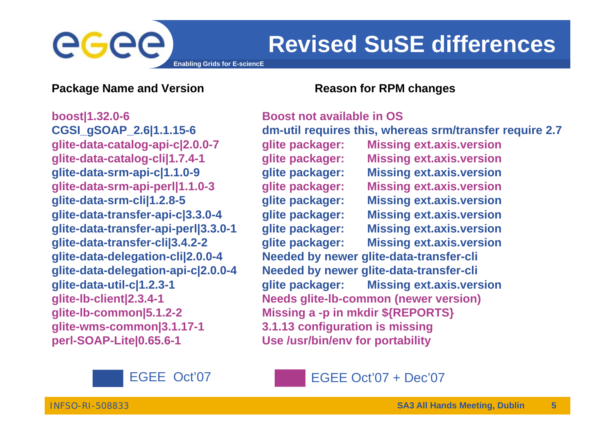## egec

### **Revised SuSE differences**

**Enabling Grids for E-sciencE**

#### **Package Name and Version** *Reason for RPM changes*

**boost|1 32 0 boost|1.32.0-6 Boost not available in OS CGSI\_gSOAP\_2.6|1.1.15-6 dm-util requires this, whereas srm/transfer require 2.7 glite-wms-common|3.1.17-1 3.1.13 configuration is missing perl-SOAP-Lite|0.65.6-1 Use /usr/bin/env for portability**

**glite-data-catalog-api-c|2.0.0-7 glite packager: Missing ext.axis.version glite-data-catalog-cli|1.7.4-1 glite packager: Missing ext.axis.version glite-data-srm-api-c|1.1.0-9 glite packager: Missing ext.axis.version glite-data-srm-api-perl|1.1.0-3 glite packager: Missing ext.axis.version glite-data-srm-cli|1.2.8-5 glite packager: Missing ext.axis.version glite-data-transfer transfer-api-c|3.3.0 c|3.3.0-4 glite packager: Missing ext.axis.version glite-data-transfer-api-perl|3.3.0-1 glite packager: Missing ext.axis.version glite-data-transfer-cli|3.4.2-2 glite packager: Missing ext.axis.version glite-data-delegation-cli|2.0.0-4 Needed by newer glite-data-transfer-cli** glite-data-delegation-api-c|2.0.0-4 Needed by newer glite-data-transfer-cli **glite-data-util-c|1.2.3-1 glite packager: Missing ext.axis.version glite-lb-client|2.3.4-1 Needs glite-lb-common (newer version) glite-lb-common|5.1.2 common|5.1.2-2 Missing <sup>a</sup> -p in mkdir \${REPORTS} p**



EGEE Oct'07 + Dec'07

INFSO-RI-508833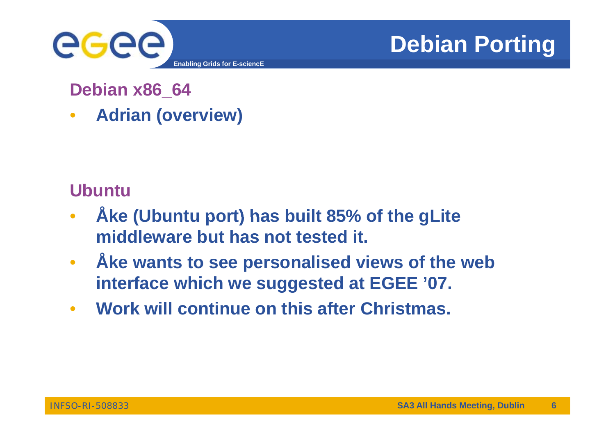

### **Debian Porting**

**Debian x86\_64**

 $\bullet$ **Adrian (overview)**

**Ubuntu**

- $\bullet$  **Åke (Ubuntu port) has built 85% of the gLite ke middleware but has not tested it.**
- $\bullet$  **Åke wants to see personalised views of the web ke interface which we suggested at EGEE '07.**
- $\bullet$ **Work will continue on this after Christmas.**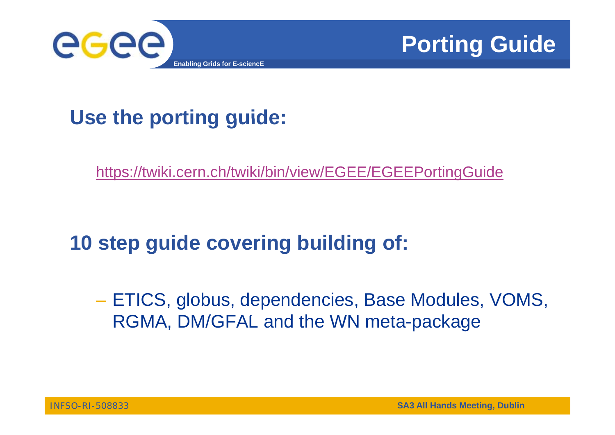



### **Use the porting guide:**

<u>https://twiki.cern.ch/twiki/bin/view/EGEE/EGEEPortingGuide</u>

### **10 step guide covering building of:**

 ETICS, globus, dependencies, Base Modules, VOMS, RGMA, DM/GFAL and the WN meta-package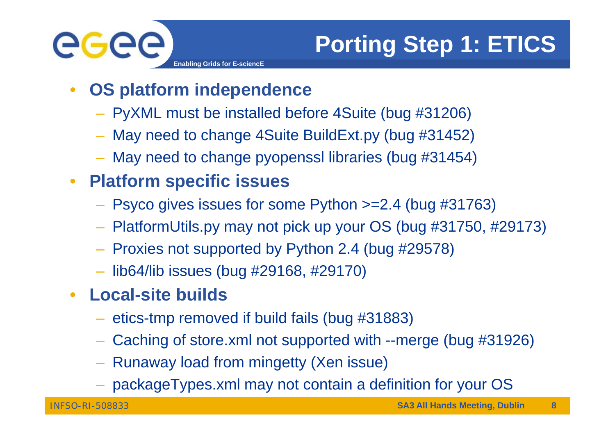

## **Porting Step 1: ETICS**

- $\bullet$  **OS platform independence**
	- PyXML must be installed before 4Suite (bug #31206)
	- May need to change 4Suite BuildExt.py (bug #31452)
	- May need to change pyopenssl libraries (bug #31454)

#### $\bullet$ **Platform specific issues**

- Psyco gives issues for some Python >=2.4 (bug #31763)
- PlatformUtils.py may not pick up your OS (bug #31750, #29173)
- Proxies not supported by Python 2.4 (bug #29578)
- lib64/lib issues (bug #29168, #29170)
- $\bullet$  **Local-site builds**
	- $-$  etics-tmp removed if build fails (bug #31883)
	- Caching of store.xml not supported with --merge (bug #31926)
	- Runaway load from mingetty (Xen issue)
	- packageTypes.xml may not contain a definition for your OS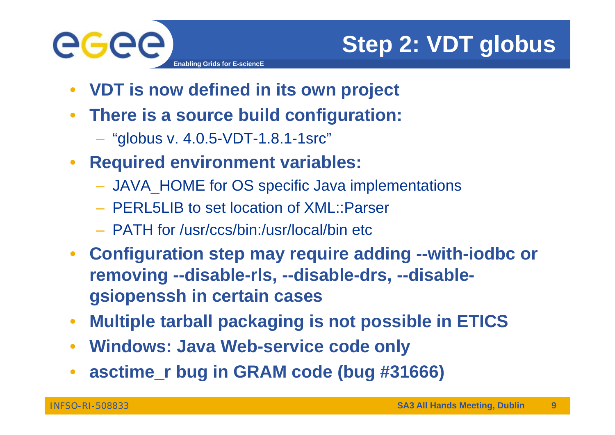

## **Step 2: VDT globus**

- $\bullet$ **VDT is now defined in its own project**
- $\bullet$  **There is <sup>a</sup> source build configuration:**
	- "globus v. 4.0.5-VDT-1.8.1-1src"
- $\bullet$  **Required environment variables:**
	- JAVA\_HOME for OS specific Java implementations
	- PERL5LIB to set location of XML::Parser
	- PATH for /usr/ccs/bin:/usr/local/bin etc
- $\bullet$  **Configuration step may require adding --with-iodbc or removing --disable-rls, --disable-drs, --disablegsiopenssh in certain cases**
- $\bullet$ • Multiple tarball packaging is not possible in ETICS
- **Windows: Java Web-service code only**
- **. asctime\_r bug in GRAM code (bug #31666)**  $\bullet$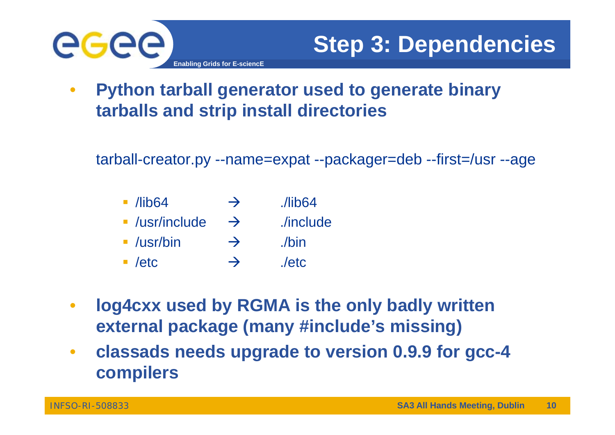

 $\bullet$  **Python tarball generator used to generate binary tarballs and strip install directories**

tarball-creator.py --name=expat --packager=deb --first=/usr --age

| $\blacksquare$ /lib64       | $\rightarrow$ | Ilib64    |
|-----------------------------|---------------|-----------|
| $\blacksquare$ /usr/include | $\rightarrow$ | ./include |
| $\blacksquare$ /usr/bin     | $\rightarrow$ | ./bin     |
| $\blacksquare$ /etc         | $\rightarrow$ | letc      |

- $\bullet$  **log4cxx used by RGMA is the only badly written external package (many #include's missing)**
- $\bullet$  **classads needs upgrade to version 0.9.9 for gcc-4 compilers**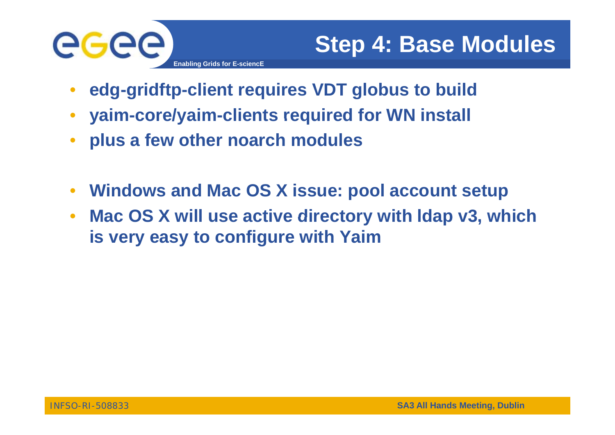

- $\bullet$ **edg-gridftp-client requires VDT globus to build**
- $\bullet$ **yaim-core/yaim-clients required for WN install clients WN**
- $\bullet$ **plus a few other noarch modules**
- $\bullet$ **Windows and Mac OS X issue: pool account setup**
- $\bullet$  **Mac OS X will use active directory with ldap v3 which v3, is very easy to configure with Yaim**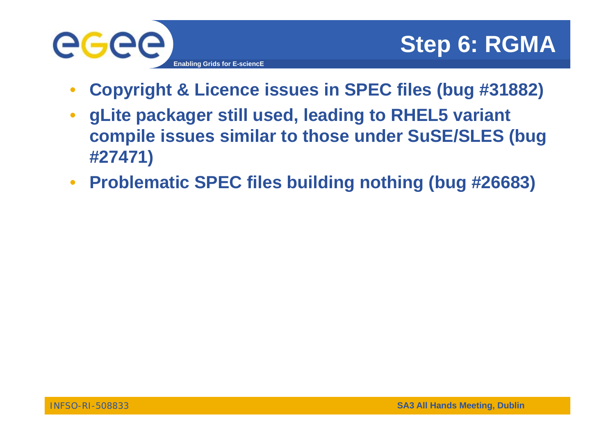

- $\bullet$ **Copyright & Licence issues in SPEC files (bug #31882)**
- $\bullet$  **gLite packager still used, leading to RHEL5 variant compile issues similar to those under SuSE/SLES (bug #27471)**
- $\bullet$ **Problematic SPEC files building nothing (bug #26683)**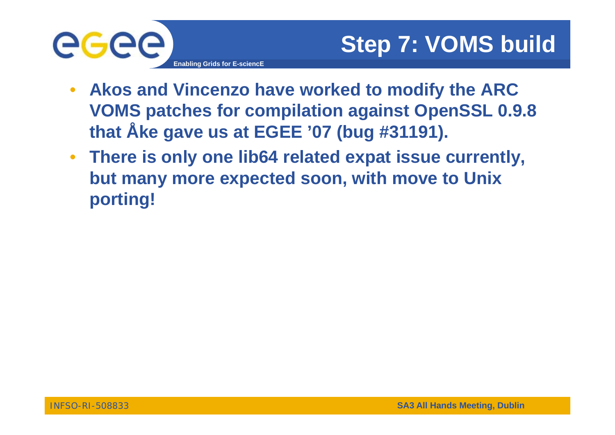

- $\bullet$  **Akos and Vincenzo have worked to modify the ARC VOMS p p gp atches for compilation against OpenSSL 0.9.8 that Åke gave us at EGEE '07 (bug #31191).**
- **There is only one lib64 related expat issue currently, but many more expected soon, with move to Unix porting!**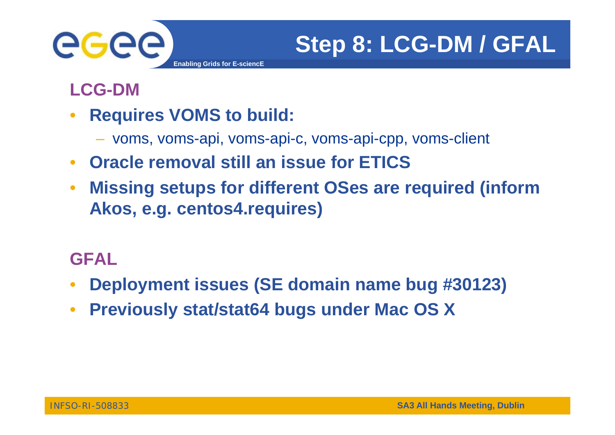

**LCG-DM**

- $\bullet$  **Requires VOMS to build:**
	- voms, voms-api, voms-api-c, voms-api-cpp, voms-client
- $\bullet$ **Oracle removal still an issue for ETICS**
- $\bullet$  **Missing setups for different OSes are required (inform**  Akos, e.g. centos4.requires)

#### **GFAL**

- $\bullet$ **Deployment issues (SE domain name bug #30123)**
- $\bullet$ **Previously stat/stat64 bugs under Mac OS X**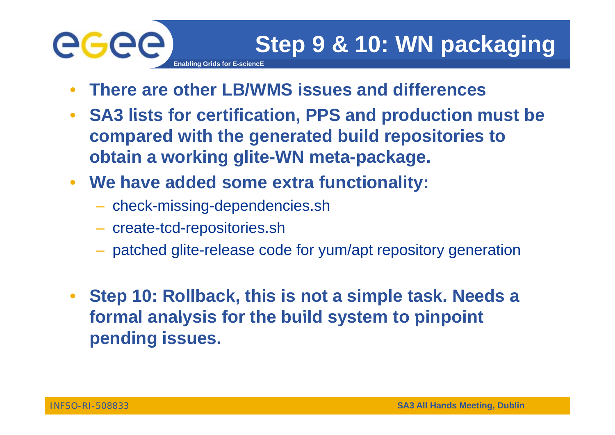# ege

- $\bullet$ **There are other LB/WMS issues and differences**
- $\bullet$  **SA3 lists for certification, PPS and production must be compared with the generated build repositories to obtain a working glite-WN meta-package.**
- $\bullet$  **We have added some extra functionality:**
	- check-missing-dependencies.sh

**Enabling Grids for E-sciencE**

- create-tcd-repositories.sh
- patched glite-release code for yum/apt repository generation
- $\bullet$  **Step 10: Rollback, this is not a simple task. Needs a formal analysis for the build system to pinpoint system pending issues.**